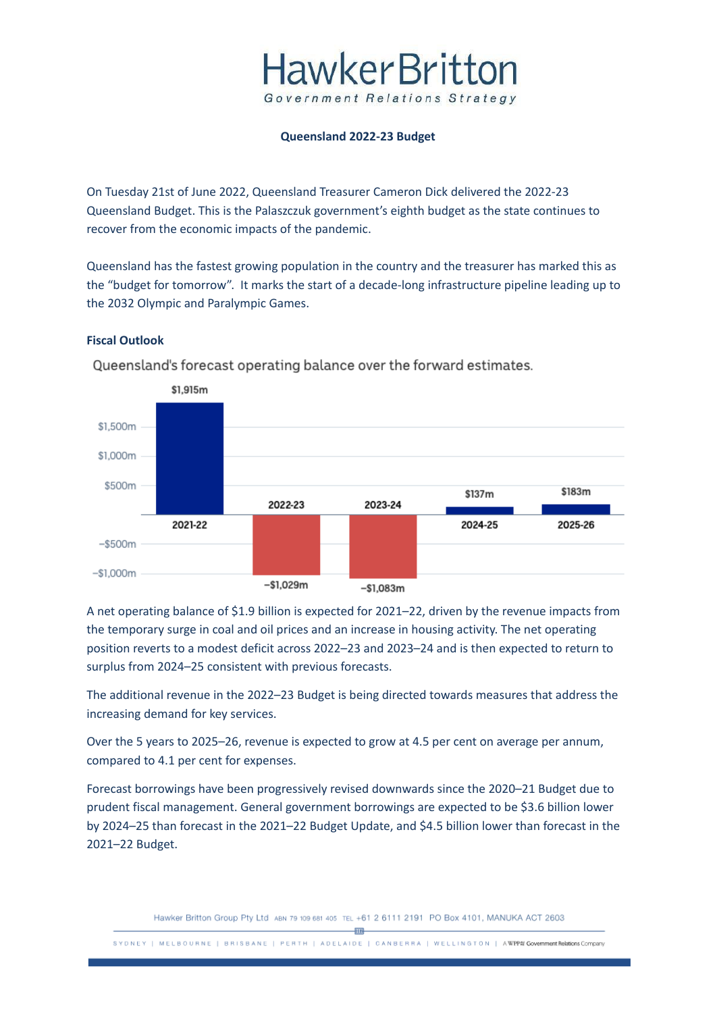## **HawkerBritton** Government Relations Strategy

#### **Queensland 2022-23 Budget**

On Tuesday 21st of June 2022, Queensland Treasurer Cameron Dick delivered the 2022-23 Queensland Budget. This is the Palaszczuk government's eighth budget as the state continues to recover from the economic impacts of the pandemic.

Queensland has the fastest growing population in the country and the treasurer has marked this as the "budget for tomorrow". It marks the start of a decade-long infrastructure pipeline leading up to the 2032 Olympic and Paralympic Games.

### **Fiscal Outlook**



Queensland's forecast operating balance over the forward estimates.

A net operating balance of \$1.9 billion is expected for 2021–22, driven by the revenue impacts from the temporary surge in coal and oil prices and an increase in housing activity. The net operating position reverts to a modest deficit across 2022–23 and 2023–24 and is then expected to return to surplus from 2024–25 consistent with previous forecasts.

The additional revenue in the 2022–23 Budget is being directed towards measures that address the increasing demand for key services.

Over the 5 years to 2025–26, revenue is expected to grow at 4.5 per cent on average per annum, compared to 4.1 per cent for expenses.

Forecast borrowings have been progressively revised downwards since the 2020–21 Budget due to prudent fiscal management. General government borrowings are expected to be \$3.6 billion lower by 2024–25 than forecast in the 2021–22 Budget Update, and \$4.5 billion lower than forecast in the 2021–22 Budget.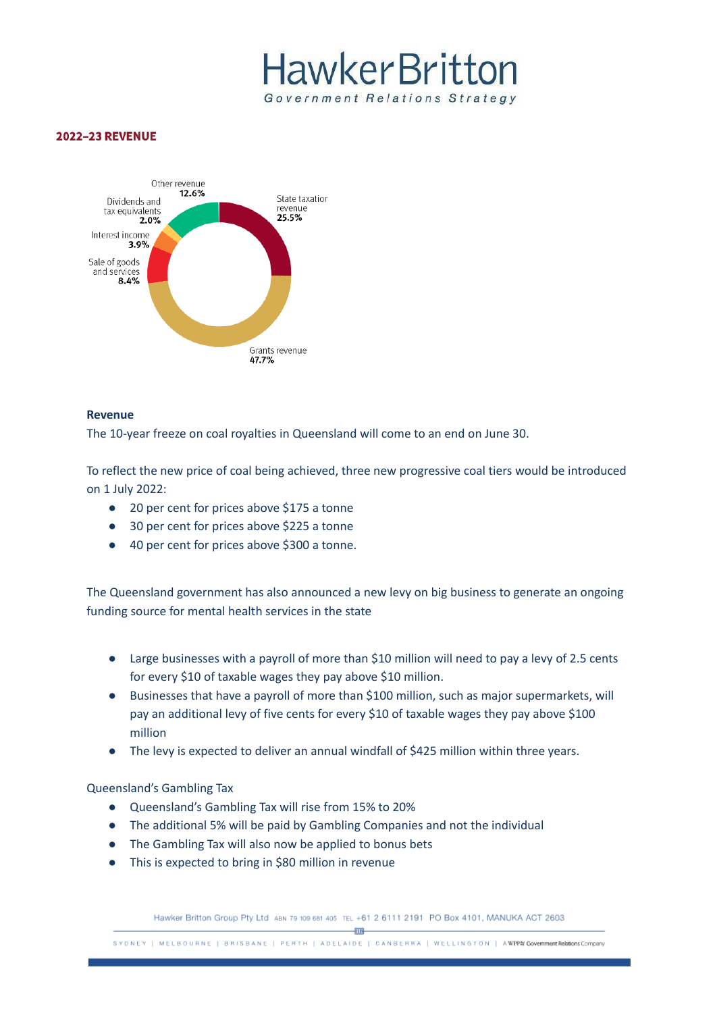# **HawkerBritton** Government Relations Strategy

#### **2022-23 REVENUE**



#### **Revenue**

The 10-year freeze on coal royalties in Queensland will come to an end on June 30.

To reflect the new price of coal being achieved, three new progressive coal tiers would be introduced on 1 July 2022:

- 20 per cent for prices above \$175 a tonne
- 30 per cent for prices above \$225 a tonne
- 40 per cent for prices above \$300 a tonne.

The Queensland government has also announced a new levy on big business to generate an ongoing funding source for mental health services in the state

- Large businesses with a payroll of more than \$10 million will need to pay a levy of 2.5 cents for every \$10 of taxable wages they pay above \$10 million.
- Businesses that have a payroll of more than \$100 million, such as major supermarkets, will pay an additional levy of five cents for every \$10 of taxable wages they pay above \$100 million
- The levy is expected to deliver an annual windfall of \$425 million within three years.

#### Queensland's Gambling Tax

- Queensland's Gambling Tax will rise from 15% to 20%
- The additional 5% will be paid by Gambling Companies and not the individual
- The Gambling Tax will also now be applied to bonus bets
- This is expected to bring in \$80 million in revenue

Hawker Britton Group Pty Ltd ABN 79 109 681 405 TEL +61 2 6111 2191 PO Box 4101, MANUKA ACT 2603

SYDNEY | MELBOURNE | BRISBANE | PERTH | ADELAIDE | CANBERRA | WELLINGTON | AWPP# Government Relations Company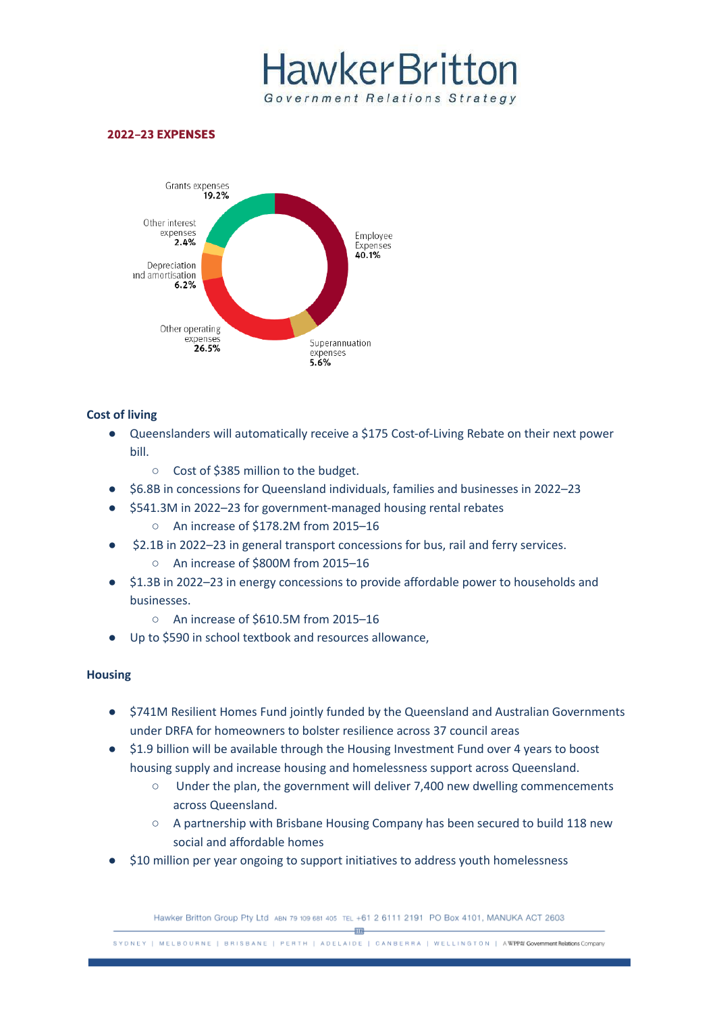# **HawkerBritton** Government Relations Strategy

#### **2022-23 EXPENSES**



#### **Cost of living**

- Queenslanders will automatically receive a \$175 Cost-of-Living Rebate on their next power bill.
	- Cost of \$385 million to the budget.
- \$6.8B in concessions for Queensland individuals, families and businesses in 2022–23
- \$541.3M in 2022–23 for government-managed housing rental rebates
	- An increase of \$178.2M from 2015–16
- \$2.1B in 2022–23 in general transport concessions for bus, rail and ferry services. ○ An increase of \$800M from 2015–16
- \$1.3B in 2022–23 in energy concessions to provide affordable power to households and businesses.
	- An increase of \$610.5M from 2015–16
- Up to \$590 in school textbook and resources allowance,

### **Housing**

- \$741M Resilient Homes Fund jointly funded by the Queensland and Australian Governments under DRFA for homeowners to bolster resilience across 37 council areas
- \$1.9 billion will be available through the Housing Investment Fund over 4 years to boost housing supply and increase housing and homelessness support across Queensland.
	- Under the plan, the government will deliver 7,400 new dwelling commencements across Queensland.
	- A partnership with Brisbane Housing Company has been secured to build 118 new social and affordable homes
- \$10 million per year ongoing to support initiatives to address youth homelessness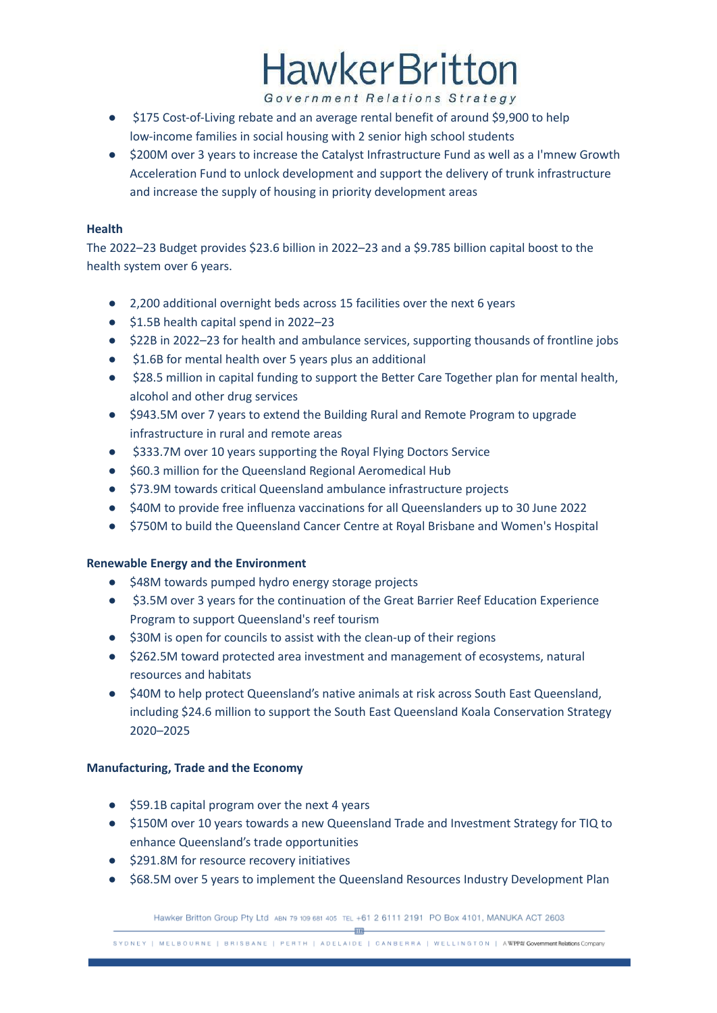# **HawkerBritton**

Government Relations Strategy

- \$175 Cost-of-Living rebate and an average rental benefit of around \$9,900 to help low-income families in social housing with 2 senior high school students
- \$200M over 3 years to increase the Catalyst Infrastructure Fund as well as a I'mnew Growth Acceleration Fund to unlock development and support the delivery of trunk infrastructure and increase the supply of housing in priority development areas

### **Health**

The 2022–23 Budget provides \$23.6 billion in 2022–23 and a \$9.785 billion capital boost to the health system over 6 years.

- 2,200 additional overnight beds across 15 facilities over the next 6 years
- \$1.5B health capital spend in 2022–23
- \$22B in 2022–23 for health and ambulance services, supporting thousands of frontline jobs
- \$1.6B for mental health over 5 years plus an additional
- \$28.5 million in capital funding to support the Better Care Together plan for mental health, alcohol and other drug services
- \$943.5M over 7 years to extend the Building Rural and Remote Program to upgrade infrastructure in rural and remote areas
- \$333.7M over 10 years supporting the Royal Flying Doctors Service
- \$60.3 million for the Queensland Regional Aeromedical Hub
- \$73.9M towards critical Queensland ambulance infrastructure projects
- \$40M to provide free influenza vaccinations for all Queenslanders up to 30 June 2022
- \$750M to build the Queensland Cancer Centre at Royal Brisbane and Women's Hospital

## **Renewable Energy and the Environment**

- \$48M towards pumped hydro energy storage projects
- \$3.5M over 3 years for the continuation of the Great Barrier Reef Education Experience Program to support Queensland's reef tourism
- \$30M is open for councils to assist with the clean-up of their regions
- \$262.5M toward protected area investment and management of ecosystems, natural resources and habitats
- \$40M to help protect Queensland's native animals at risk across South East Queensland, including \$24.6 million to support the South East Queensland Koala Conservation Strategy 2020–2025

## **Manufacturing, Trade and the Economy**

- \$59.1B capital program over the next 4 years
- \$150M over 10 years towards a new Queensland Trade and Investment Strategy for TIQ to enhance Queensland's trade opportunities
- \$291.8M for resource recovery initiatives
- \$68.5M over 5 years to implement the Queensland Resources Industry Development Plan

SYDNEY | MELBOURNE | BRISBANE | PERTH | ADELAIDE | CANBERRA | WELLINGTON | AWPP# Government Relations Company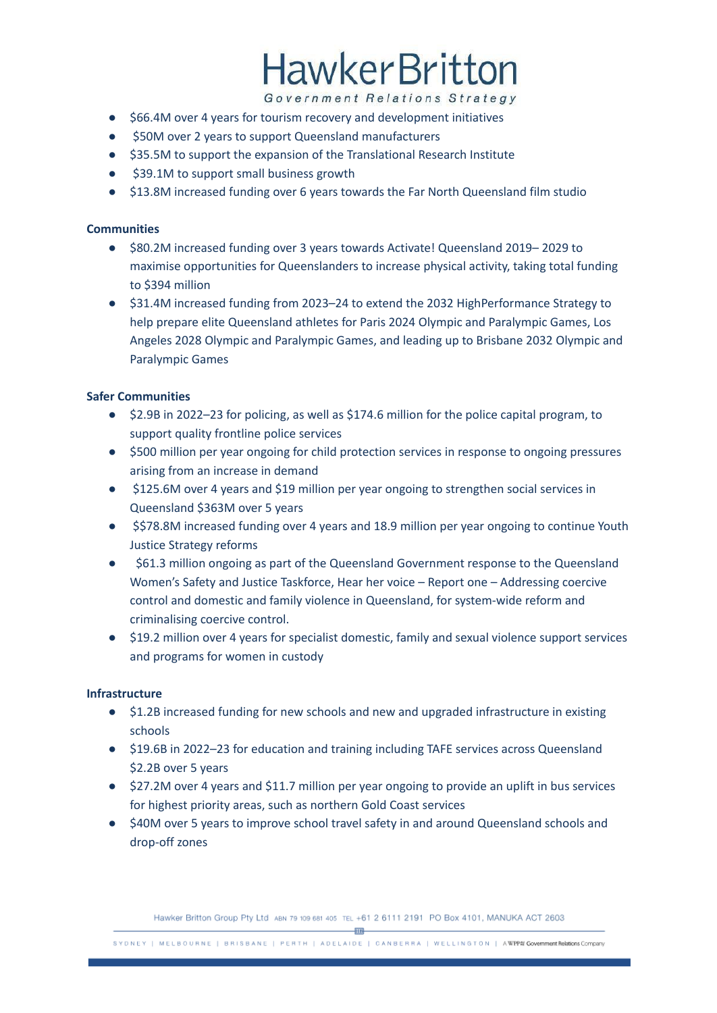# **HawkerBritton**

Government Relations Strategy

- \$66.4M over 4 years for tourism recovery and development initiatives
- \$50M over 2 years to support Queensland manufacturers
- \$35.5M to support the expansion of the Translational Research Institute
- \$39.1M to support small business growth
- \$13.8M increased funding over 6 years towards the Far North Queensland film studio

### **Communities**

- \$80.2M increased funding over 3 years towards Activate! Queensland 2019– 2029 to maximise opportunities for Queenslanders to increase physical activity, taking total funding to \$394 million
- \$31.4M increased funding from 2023–24 to extend the 2032 HighPerformance Strategy to help prepare elite Queensland athletes for Paris 2024 Olympic and Paralympic Games, Los Angeles 2028 Olympic and Paralympic Games, and leading up to Brisbane 2032 Olympic and Paralympic Games

### **Safer Communities**

- \$2.9B in 2022–23 for policing, as well as \$174.6 million for the police capital program, to support quality frontline police services
- \$500 million per year ongoing for child protection services in response to ongoing pressures arising from an increase in demand
- \$125.6M over 4 years and \$19 million per year ongoing to strengthen social services in Queensland \$363M over 5 years
- \$\$78.8M increased funding over 4 years and 18.9 million per year ongoing to continue Youth Justice Strategy reforms
- \$61.3 million ongoing as part of the Queensland Government response to the Queensland Women's Safety and Justice Taskforce, Hear her voice – Report one – Addressing coercive control and domestic and family violence in Queensland, for system-wide reform and criminalising coercive control.
- \$19.2 million over 4 years for specialist domestic, family and sexual violence support services and programs for women in custody

### **Infrastructure**

- \$1.2B increased funding for new schools and new and upgraded infrastructure in existing schools
- \$19.6B in 2022–23 for education and training including TAFE services across Queensland \$2.2B over 5 years
- \$27.2M over 4 years and \$11.7 million per year ongoing to provide an uplift in bus services for highest priority areas, such as northern Gold Coast services
- \$40M over 5 years to improve school travel safety in and around Queensland schools and drop-off zones

Hawker Britton Group Pty Ltd ABN 79 109 681 405 TEL +61 2 6111 2191 PO Box 4101, MANUKA ACT 2603

 $-$ FFB $-$